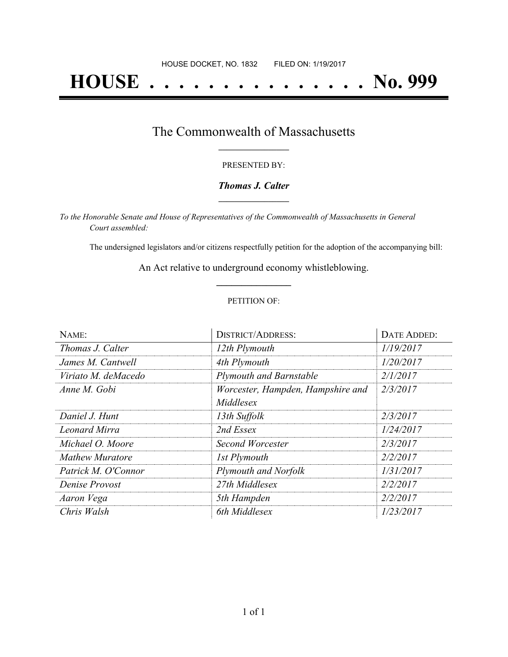# **HOUSE . . . . . . . . . . . . . . . No. 999**

## The Commonwealth of Massachusetts **\_\_\_\_\_\_\_\_\_\_\_\_\_\_\_\_\_**

#### PRESENTED BY:

#### *Thomas J. Calter* **\_\_\_\_\_\_\_\_\_\_\_\_\_\_\_\_\_**

*To the Honorable Senate and House of Representatives of the Commonwealth of Massachusetts in General Court assembled:*

The undersigned legislators and/or citizens respectfully petition for the adoption of the accompanying bill:

An Act relative to underground economy whistleblowing. **\_\_\_\_\_\_\_\_\_\_\_\_\_\_\_**

#### PETITION OF:

| NAME:                  | <b>DISTRICT/ADDRESS:</b>          | <b>DATE ADDED:</b> |
|------------------------|-----------------------------------|--------------------|
| Thomas J. Calter       | 12th Plymouth                     | 1/19/2017          |
| James M. Cantwell      | 4th Plymouth                      | 1/20/2017          |
| Viriato M. deMacedo    | <b>Plymouth and Barnstable</b>    | 2/1/2017           |
| Anne M. Gobi           | Worcester, Hampden, Hampshire and | 2/3/2017           |
|                        | Middlesex                         |                    |
| Daniel J. Hunt         | 13th Suffolk                      | 2/3/2017           |
| <b>Leonard Mirra</b>   | 2nd Essex                         | 1/24/2017          |
| Michael O. Moore       | Second Worcester                  | 2/3/2017           |
| <b>Mathew Muratore</b> | 1st Plymouth                      | 2/2/2017           |
| Patrick M. O'Connor    | Plymouth and Norfolk              | 1/31/2017          |
| Denise Provost         | 27th Middlesex                    | 2/2/2017           |
| Aaron Vega             | 5th Hampden                       | 2/2/2017           |
| Chris Walsh            | 6th Middlesex                     | 1/23/2017          |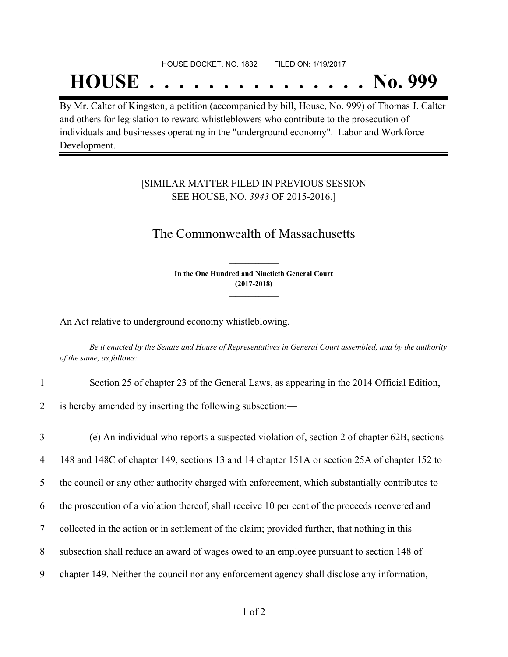#### HOUSE DOCKET, NO. 1832 FILED ON: 1/19/2017

## **HOUSE . . . . . . . . . . . . . . . No. 999**

By Mr. Calter of Kingston, a petition (accompanied by bill, House, No. 999) of Thomas J. Calter and others for legislation to reward whistleblowers who contribute to the prosecution of individuals and businesses operating in the "underground economy". Labor and Workforce Development.

#### [SIMILAR MATTER FILED IN PREVIOUS SESSION SEE HOUSE, NO. *3943* OF 2015-2016.]

### The Commonwealth of Massachusetts

**In the One Hundred and Ninetieth General Court (2017-2018) \_\_\_\_\_\_\_\_\_\_\_\_\_\_\_**

**\_\_\_\_\_\_\_\_\_\_\_\_\_\_\_**

An Act relative to underground economy whistleblowing.

Be it enacted by the Senate and House of Representatives in General Court assembled, and by the authority *of the same, as follows:*

| Section 25 of chapter 23 of the General Laws, as appearing in the 2014 Official Edition, |
|------------------------------------------------------------------------------------------|
| 2 is hereby amended by inserting the following subsection:—                              |

 (e) An individual who reports a suspected violation of, section 2 of chapter 62B, sections 148 and 148C of chapter 149, sections 13 and 14 chapter 151A or section 25A of chapter 152 to the council or any other authority charged with enforcement, which substantially contributes to the prosecution of a violation thereof, shall receive 10 per cent of the proceeds recovered and collected in the action or in settlement of the claim; provided further, that nothing in this subsection shall reduce an award of wages owed to an employee pursuant to section 148 of chapter 149. Neither the council nor any enforcement agency shall disclose any information,